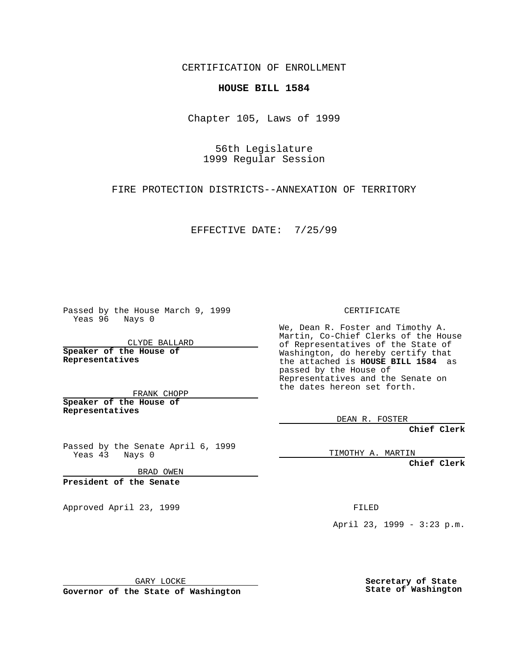CERTIFICATION OF ENROLLMENT

## **HOUSE BILL 1584**

Chapter 105, Laws of 1999

56th Legislature 1999 Regular Session

FIRE PROTECTION DISTRICTS--ANNEXATION OF TERRITORY

EFFECTIVE DATE: 7/25/99

Passed by the House March 9, 1999 Yeas 96 Nays 0

CLYDE BALLARD **Speaker of the House of Representatives**

FRANK CHOPP **Speaker of the House of Representatives**

Passed by the Senate April 6, 1999 Yeas 43 Nays 0

BRAD OWEN

**President of the Senate**

Approved April 23, 1999 FILED

CERTIFICATE

We, Dean R. Foster and Timothy A. Martin, Co-Chief Clerks of the House of Representatives of the State of Washington, do hereby certify that the attached is **HOUSE BILL 1584** as passed by the House of Representatives and the Senate on the dates hereon set forth.

DEAN R. FOSTER

**Chief Clerk**

TIMOTHY A. MARTIN

**Chief Clerk**

April 23, 1999 - 3:23 p.m.

GARY LOCKE

**Governor of the State of Washington**

**Secretary of State State of Washington**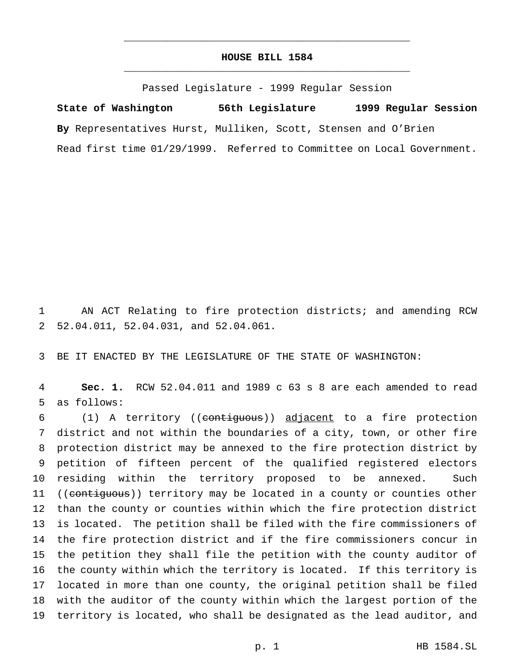## **HOUSE BILL 1584** \_\_\_\_\_\_\_\_\_\_\_\_\_\_\_\_\_\_\_\_\_\_\_\_\_\_\_\_\_\_\_\_\_\_\_\_\_\_\_\_\_\_\_\_\_\_\_

\_\_\_\_\_\_\_\_\_\_\_\_\_\_\_\_\_\_\_\_\_\_\_\_\_\_\_\_\_\_\_\_\_\_\_\_\_\_\_\_\_\_\_\_\_\_\_

Passed Legislature - 1999 Regular Session

**State of Washington 56th Legislature 1999 Regular Session By** Representatives Hurst, Mulliken, Scott, Stensen and O'Brien Read first time 01/29/1999. Referred to Committee on Local Government.

 AN ACT Relating to fire protection districts; and amending RCW 52.04.011, 52.04.031, and 52.04.061.

BE IT ENACTED BY THE LEGISLATURE OF THE STATE OF WASHINGTON:

 **Sec. 1.** RCW 52.04.011 and 1989 c 63 s 8 are each amended to read as follows:

 (1) A territory ((contiguous)) adjacent to a fire protection district and not within the boundaries of a city, town, or other fire protection district may be annexed to the fire protection district by petition of fifteen percent of the qualified registered electors residing within the territory proposed to be annexed. Such 11 ((contiguous)) territory may be located in a county or counties other than the county or counties within which the fire protection district is located. The petition shall be filed with the fire commissioners of the fire protection district and if the fire commissioners concur in the petition they shall file the petition with the county auditor of the county within which the territory is located. If this territory is located in more than one county, the original petition shall be filed with the auditor of the county within which the largest portion of the territory is located, who shall be designated as the lead auditor, and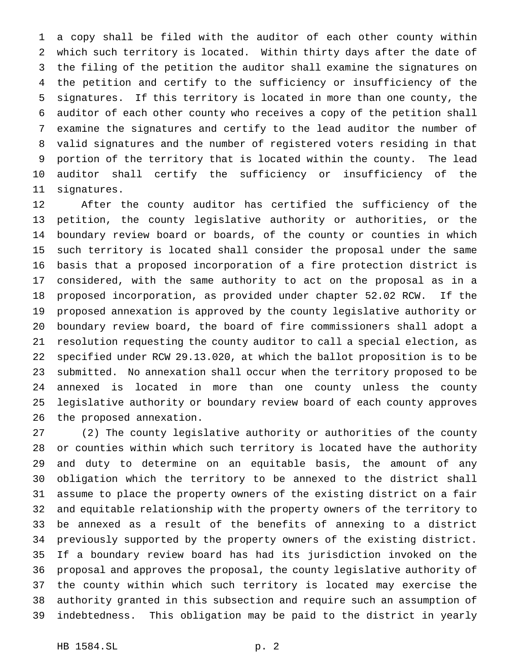a copy shall be filed with the auditor of each other county within which such territory is located. Within thirty days after the date of the filing of the petition the auditor shall examine the signatures on the petition and certify to the sufficiency or insufficiency of the signatures. If this territory is located in more than one county, the auditor of each other county who receives a copy of the petition shall examine the signatures and certify to the lead auditor the number of valid signatures and the number of registered voters residing in that portion of the territory that is located within the county. The lead auditor shall certify the sufficiency or insufficiency of the signatures.

 After the county auditor has certified the sufficiency of the petition, the county legislative authority or authorities, or the boundary review board or boards, of the county or counties in which such territory is located shall consider the proposal under the same basis that a proposed incorporation of a fire protection district is considered, with the same authority to act on the proposal as in a proposed incorporation, as provided under chapter 52.02 RCW. If the proposed annexation is approved by the county legislative authority or boundary review board, the board of fire commissioners shall adopt a resolution requesting the county auditor to call a special election, as specified under RCW 29.13.020, at which the ballot proposition is to be submitted. No annexation shall occur when the territory proposed to be annexed is located in more than one county unless the county legislative authority or boundary review board of each county approves the proposed annexation.

 (2) The county legislative authority or authorities of the county or counties within which such territory is located have the authority and duty to determine on an equitable basis, the amount of any obligation which the territory to be annexed to the district shall assume to place the property owners of the existing district on a fair and equitable relationship with the property owners of the territory to be annexed as a result of the benefits of annexing to a district previously supported by the property owners of the existing district. If a boundary review board has had its jurisdiction invoked on the proposal and approves the proposal, the county legislative authority of the county within which such territory is located may exercise the authority granted in this subsection and require such an assumption of indebtedness. This obligation may be paid to the district in yearly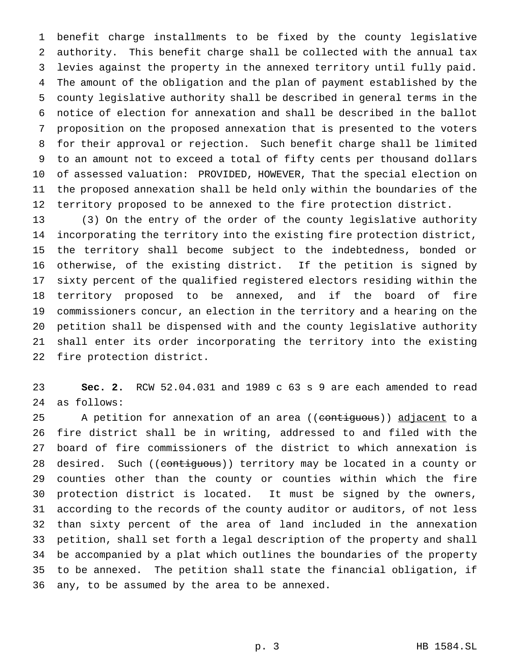benefit charge installments to be fixed by the county legislative authority. This benefit charge shall be collected with the annual tax levies against the property in the annexed territory until fully paid. The amount of the obligation and the plan of payment established by the county legislative authority shall be described in general terms in the notice of election for annexation and shall be described in the ballot proposition on the proposed annexation that is presented to the voters for their approval or rejection. Such benefit charge shall be limited to an amount not to exceed a total of fifty cents per thousand dollars of assessed valuation: PROVIDED, HOWEVER, That the special election on the proposed annexation shall be held only within the boundaries of the territory proposed to be annexed to the fire protection district.

 (3) On the entry of the order of the county legislative authority incorporating the territory into the existing fire protection district, the territory shall become subject to the indebtedness, bonded or otherwise, of the existing district. If the petition is signed by sixty percent of the qualified registered electors residing within the territory proposed to be annexed, and if the board of fire commissioners concur, an election in the territory and a hearing on the petition shall be dispensed with and the county legislative authority shall enter its order incorporating the territory into the existing fire protection district.

 **Sec. 2.** RCW 52.04.031 and 1989 c 63 s 9 are each amended to read as follows:

25 A petition for annexation of an area ((contiguous)) adjacent to a fire district shall be in writing, addressed to and filed with the board of fire commissioners of the district to which annexation is 28 desired. Such ((contiguous)) territory may be located in a county or counties other than the county or counties within which the fire protection district is located. It must be signed by the owners, according to the records of the county auditor or auditors, of not less than sixty percent of the area of land included in the annexation petition, shall set forth a legal description of the property and shall be accompanied by a plat which outlines the boundaries of the property to be annexed. The petition shall state the financial obligation, if any, to be assumed by the area to be annexed.